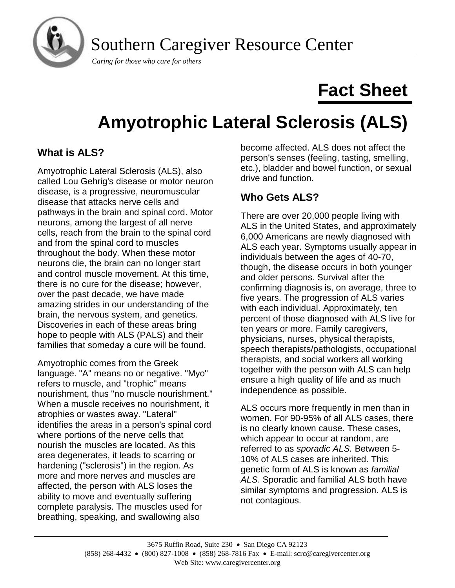

Southern Caregiver Resource Center

*Caring for those who care for others*

# **Fact Sheet**

# **Amyotrophic Lateral Sclerosis (ALS)**

# **What is ALS?**

Amyotrophic Lateral Sclerosis (ALS), also called Lou Gehrig's disease or motor neuron disease, is a progressive, neuromuscular disease that attacks nerve cells and pathways in the brain and spinal cord. Motor neurons, among the largest of all nerve cells, reach from the brain to the spinal cord and from the spinal cord to muscles throughout the body. When these motor neurons die, the brain can no longer start and control muscle movement. At this time, there is no cure for the disease; however, over the past decade, we have made amazing strides in our understanding of the brain, the nervous system, and genetics. Discoveries in each of these areas bring hope to people with ALS (PALS) and their families that someday a cure will be found.

Amyotrophic comes from the Greek language. "A" means no or negative. "Myo" refers to muscle, and "trophic" means nourishment, thus "no muscle nourishment." When a muscle receives no nourishment, it atrophies or wastes away. "Lateral" identifies the areas in a person's spinal cord where portions of the nerve cells that nourish the muscles are located. As this area degenerates, it leads to scarring or hardening ("sclerosis") in the region. As more and more nerves and muscles are affected, the person with ALS loses the ability to move and eventually suffering complete paralysis. The muscles used for breathing, speaking, and swallowing also

become affected. ALS does not affect the person's senses (feeling, tasting, smelling, etc.), bladder and bowel function, or sexual drive and function.

# **Who Gets ALS?**

There are over 20,000 people living with ALS in the United States, and approximately 6,000 Americans are newly diagnosed with ALS each year. Symptoms usually appear in individuals between the ages of 40-70, though, the disease occurs in both younger and older persons. Survival after the confirming diagnosis is, on average, three to five years. The progression of ALS varies with each individual. Approximately, ten percent of those diagnosed with ALS live for ten years or more. Family caregivers, physicians, nurses, physical therapists, speech therapists/pathologists, occupational therapists, and social workers all working together with the person with ALS can help ensure a high quality of life and as much independence as possible.

ALS occurs more frequently in men than in women. For 90-95% of all ALS cases, there is no clearly known cause. These cases, which appear to occur at random, are referred to as *sporadic ALS.* Between 5- 10% of ALS cases are inherited. This genetic form of ALS is known as *familial ALS*. Sporadic and familial ALS both have similar symptoms and progression. ALS is not contagious.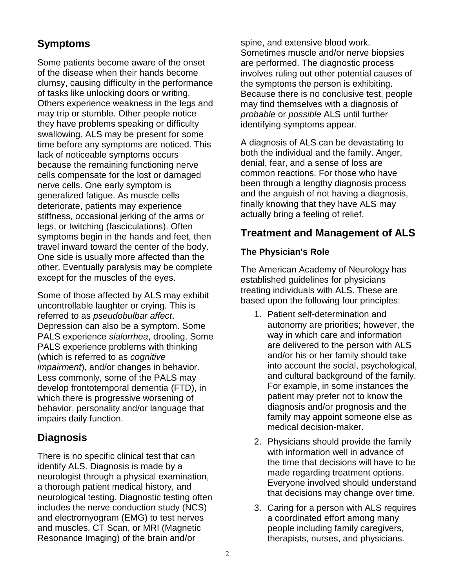# **Symptoms**

Some patients become aware of the onset of the disease when their hands become clumsy, causing difficulty in the performance of tasks like unlocking doors or writing. Others experience weakness in the legs and may trip or stumble. Other people notice they have problems speaking or difficulty swallowing. ALS may be present for some time before any symptoms are noticed. This lack of noticeable symptoms occurs because the remaining functioning nerve cells compensate for the lost or damaged nerve cells. One early symptom is generalized fatigue. As muscle cells deteriorate, patients may experience stiffness, occasional jerking of the arms or legs, or twitching (fasciculations). Often symptoms begin in the hands and feet, then travel inward toward the center of the body. One side is usually more affected than the other. Eventually paralysis may be complete except for the muscles of the eyes.

Some of those affected by ALS may exhibit uncontrollable laughter or crying. This is referred to as *pseudobulbar affect*. Depression can also be a symptom. Some PALS experience *sialorrhea*, drooling. Some PALS experience problems with thinking (which is referred to as *cognitive impairment*), and/or changes in behavior. Less commonly, some of the PALS may develop frontotemporal dementia (FTD), in which there is progressive worsening of behavior, personality and/or language that impairs daily function.

# **Diagnosis**

There is no specific clinical test that can identify ALS. Diagnosis is made by a neurologist through a physical examination, a thorough patient medical history, and neurological testing. Diagnostic testing often includes the nerve conduction study (NCS) and electromyogram (EMG) to test nerves and muscles, CT Scan, or MRI (Magnetic Resonance Imaging) of the brain and/or

spine, and extensive blood work. Sometimes muscle and/or nerve biopsies are performed. The diagnostic process involves ruling out other potential causes of the symptoms the person is exhibiting. Because there is no conclusive test, people may find themselves with a diagnosis of *probable* or *possible* ALS until further identifying symptoms appear.

A diagnosis of ALS can be devastating to both the individual and the family. Anger, denial, fear, and a sense of loss are common reactions. For those who have been through a lengthy diagnosis process and the anguish of not having a diagnosis, finally knowing that they have ALS may actually bring a feeling of relief.

## **Treatment and Management of ALS**

## **The Physician's Role**

The American Academy of Neurology has established guidelines for physicians treating individuals with ALS. These are based upon the following four principles:

- 1. Patient self-determination and autonomy are priorities; however, the way in which care and information are delivered to the person with ALS and/or his or her family should take into account the social, psychological, and cultural background of the family. For example, in some instances the patient may prefer not to know the diagnosis and/or prognosis and the family may appoint someone else as medical decision-maker.
- 2. Physicians should provide the family with information well in advance of the time that decisions will have to be made regarding treatment options. Everyone involved should understand that decisions may change over time.
- 3. Caring for a person with ALS requires a coordinated effort among many people including family caregivers, therapists, nurses, and physicians.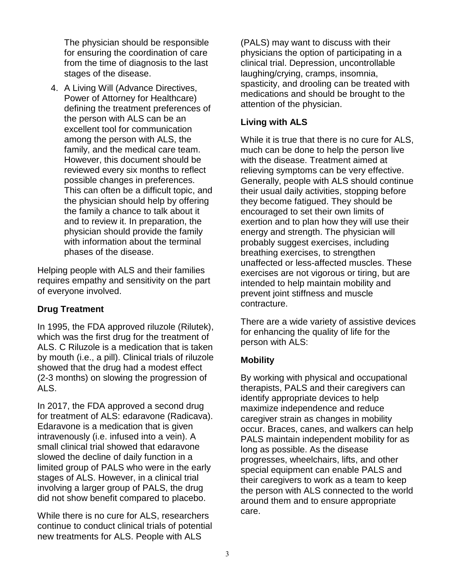The physician should be responsible for ensuring the coordination of care from the time of diagnosis to the last stages of the disease.

4. A Living Will (Advance Directives, Power of Attorney for Healthcare) defining the treatment preferences of the person with ALS can be an excellent tool for communication among the person with ALS, the family, and the medical care team. However, this document should be reviewed every six months to reflect possible changes in preferences. This can often be a difficult topic, and the physician should help by offering the family a chance to talk about it and to review it. In preparation, the physician should provide the family with information about the terminal phases of the disease.

Helping people with ALS and their families requires empathy and sensitivity on the part of everyone involved.

## **Drug Treatment**

In 1995, the FDA approved riluzole (Rilutek), which was the first drug for the treatment of ALS. C Riluzole is a medication that is taken by mouth (i.e., a pill). Clinical trials of riluzole showed that the drug had a modest effect (2-3 months) on slowing the progression of ALS.

In 2017, the FDA approved a second drug for treatment of ALS: edaravone (Radicava). Edaravone is a medication that is given intravenously (i.e. infused into a vein). A small clinical trial showed that edaravone slowed the decline of daily function in a limited group of PALS who were in the early stages of ALS. However, in a clinical trial involving a larger group of PALS, the drug did not show benefit compared to placebo.

While there is no cure for ALS, researchers continue to conduct clinical trials of potential new treatments for ALS. People with ALS

(PALS) may want to discuss with their physicians the option of participating in a clinical trial. Depression, uncontrollable laughing/crying, cramps, insomnia, spasticity, and drooling can be treated with medications and should be brought to the attention of the physician.

## **Living with ALS**

While it is true that there is no cure for ALS, much can be done to help the person live with the disease. Treatment aimed at relieving symptoms can be very effective. Generally, people with ALS should continue their usual daily activities, stopping before they become fatigued. They should be encouraged to set their own limits of exertion and to plan how they will use their energy and strength. The physician will probably suggest exercises, including breathing exercises, to strengthen unaffected or less-affected muscles. These exercises are not vigorous or tiring, but are intended to help maintain mobility and prevent joint stiffness and muscle contracture.

There are a wide variety of assistive devices for enhancing the quality of life for the person with ALS:

## **Mobility**

By working with physical and occupational therapists, PALS and their caregivers can identify appropriate devices to help maximize independence and reduce caregiver strain as changes in mobility occur. Braces, canes, and walkers can help PALS maintain independent mobility for as long as possible. As the disease progresses, wheelchairs, lifts, and other special equipment can enable PALS and their caregivers to work as a team to keep the person with ALS connected to the world around them and to ensure appropriate care.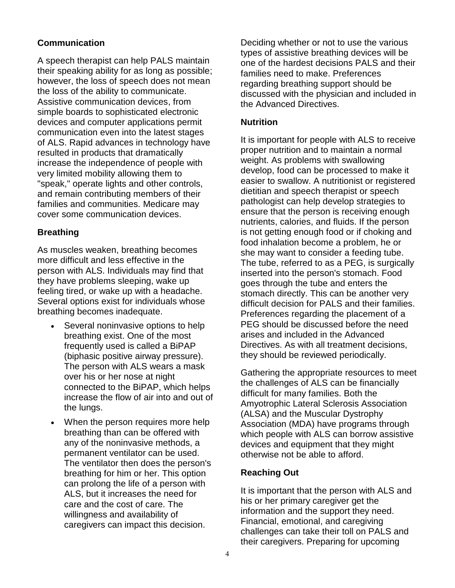#### **Communication**

A speech therapist can help PALS maintain their speaking ability for as long as possible; however, the loss of speech does not mean the loss of the ability to communicate. Assistive communication devices, from simple boards to sophisticated electronic devices and computer applications permit communication even into the latest stages of ALS. Rapid advances in technology have resulted in products that dramatically increase the independence of people with very limited mobility allowing them to "speak," operate lights and other controls, and remain contributing members of their families and communities. Medicare may cover some communication devices.

#### **Breathing**

As muscles weaken, breathing becomes more difficult and less effective in the person with ALS. Individuals may find that they have problems sleeping, wake up feeling tired, or wake up with a headache. Several options exist for individuals whose breathing becomes inadequate.

- Several noninvasive options to help breathing exist. One of the most frequently used is called a BiPAP (biphasic positive airway pressure). The person with ALS wears a mask over his or her nose at night connected to the BiPAP, which helps increase the flow of air into and out of the lungs.
- When the person requires more help breathing than can be offered with any of the noninvasive methods, a permanent ventilator can be used. The ventilator then does the person's breathing for him or her. This option can prolong the life of a person with ALS, but it increases the need for care and the cost of care. The willingness and availability of caregivers can impact this decision.

Deciding whether or not to use the various types of assistive breathing devices will be one of the hardest decisions PALS and their families need to make. Preferences regarding breathing support should be discussed with the physician and included in the Advanced Directives.

#### **Nutrition**

It is important for people with ALS to receive proper nutrition and to maintain a normal weight. As problems with swallowing develop, food can be processed to make it easier to swallow. A nutritionist or registered dietitian and speech therapist or speech pathologist can help develop strategies to ensure that the person is receiving enough nutrients, calories, and fluids. If the person is not getting enough food or if choking and food inhalation become a problem, he or she may want to consider a feeding tube. The tube, referred to as a PEG, is surgically inserted into the person's stomach. Food goes through the tube and enters the stomach directly. This can be another very difficult decision for PALS and their families. Preferences regarding the placement of a PEG should be discussed before the need arises and included in the Advanced Directives. As with all treatment decisions, they should be reviewed periodically.

Gathering the appropriate resources to meet the challenges of ALS can be financially difficult for many families. Both the Amyotrophic Lateral Sclerosis Association (ALSA) and the Muscular Dystrophy Association (MDA) have programs through which people with ALS can borrow assistive devices and equipment that they might otherwise not be able to afford.

#### **Reaching Out**

It is important that the person with ALS and his or her primary caregiver get the information and the support they need. Financial, emotional, and caregiving challenges can take their toll on PALS and their caregivers. Preparing for upcoming